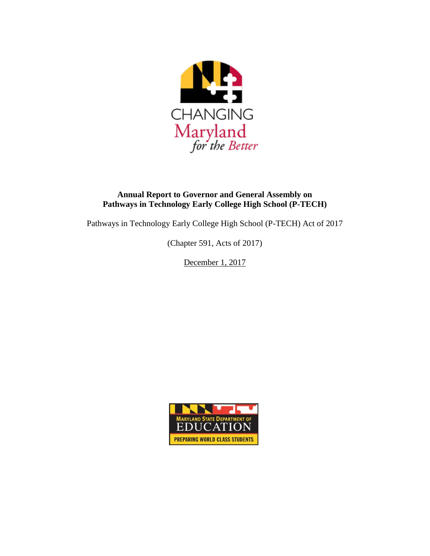

### **Annual Report to Governor and General Assembly on Pathways in Technology Early College High School (P-TECH)**

Pathways in Technology Early College High School (P-TECH) Act of 2017

(Chapter 591, Acts of 2017)

December 1, 2017

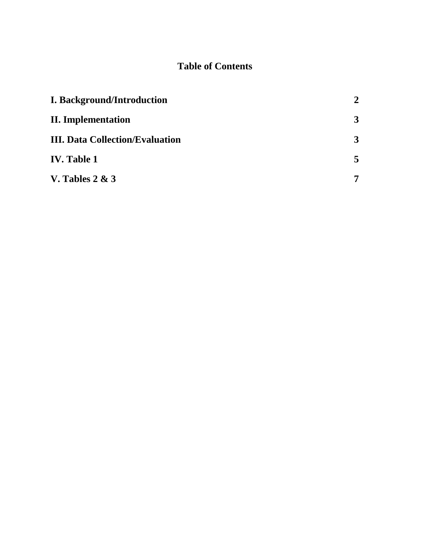## **Table of Contents**

| <b>I. Background/Introduction</b>      | $\overline{2}$ |
|----------------------------------------|----------------|
| <b>II.</b> Implementation              | 3              |
| <b>III. Data Collection/Evaluation</b> | 3              |
| <b>IV.</b> Table 1                     | 5              |
| V. Tables $2 & 3$                      | $\overline{7}$ |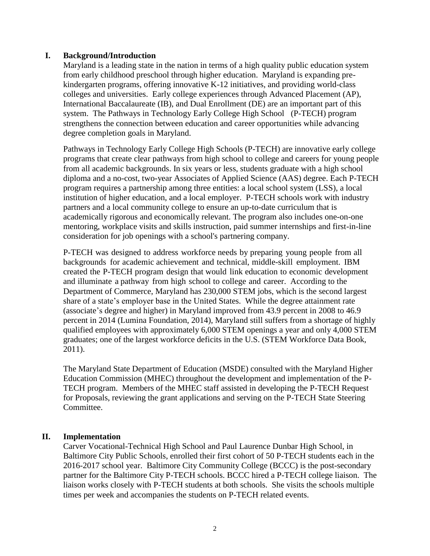#### **I. Background/Introduction**

Maryland is a leading state in the nation in terms of a high quality public education system from early childhood preschool through higher education. Maryland is expanding prekindergarten programs, offering innovative K-12 initiatives, and providing world-class colleges and universities. Early college experiences through Advanced Placement (AP), International Baccalaureate (IB), and Dual Enrollment (DE) are an important part of this system. The Pathways in Technology Early College High School (P-TECH) program strengthens the connection between education and career opportunities while advancing degree completion goals in Maryland.

Pathways in Technology Early College High Schools (P-TECH) are innovative early college programs that create clear pathways from high school to college and careers for young people from all academic backgrounds. In six years or less, students graduate with a high school diploma and a no-cost, two-year Associates of Applied Science (AAS) degree. Each P-TECH program requires a partnership among three entities: a local school system (LSS), a local institution of higher education, and a local employer. P-TECH schools work with industry partners and a local community college to ensure an up-to-date curriculum that is academically rigorous and economically relevant. The program also includes one-on-one mentoring, workplace visits and skills instruction, paid summer internships and first-in-line consideration for job openings with a school's partnering company.

P-TECH was designed to address workforce needs by preparing young people from all backgrounds for academic achievement and technical, middle-skill employment. IBM created the P-TECH program design that would link education to economic development and illuminate a pathway from high school to college and career. According to the Department of Commerce, Maryland has 230,000 STEM jobs, which is the second largest share of a state's employer base in the United States. While the degree attainment rate (associate's degree and higher) in Maryland improved from 43.9 percent in 2008 to 46.9 percent in 2014 (Lumina Foundation, 2014), Maryland still suffers from a shortage of highly qualified employees with approximately 6,000 STEM openings a year and only 4,000 STEM graduates; one of the largest workforce deficits in the U.S. (STEM Workforce Data Book, 2011).

The Maryland State Department of Education (MSDE) consulted with the Maryland Higher Education Commission (MHEC) throughout the development and implementation of the P-TECH program. Members of the MHEC staff assisted in developing the P-TECH Request for Proposals, reviewing the grant applications and serving on the P-TECH State Steering Committee.

#### **II. Implementation**

Carver Vocational-Technical High School and Paul Laurence Dunbar High School, in Baltimore City Public Schools, enrolled their first cohort of 50 P-TECH students each in the 2016-2017 school year. Baltimore City Community College (BCCC) is the post-secondary partner for the Baltimore City P-TECH schools. BCCC hired a P-TECH college liaison. The liaison works closely with P-TECH students at both schools. She visits the schools multiple times per week and accompanies the students on P-TECH related events.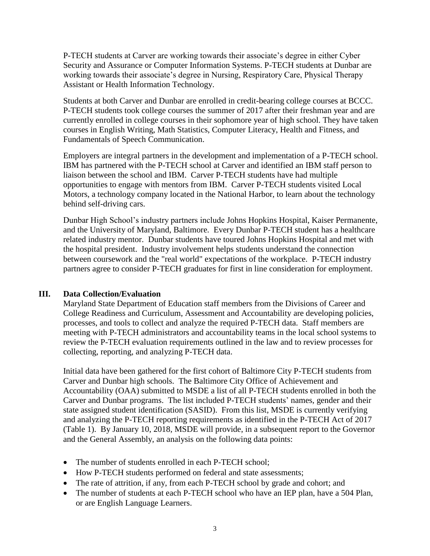P-TECH students at Carver are working towards their associate's degree in either Cyber Security and Assurance or Computer Information Systems. P-TECH students at Dunbar are working towards their associate's degree in Nursing, Respiratory Care, Physical Therapy Assistant or Health Information Technology.

Students at both Carver and Dunbar are enrolled in credit-bearing college courses at BCCC. P-TECH students took college courses the summer of 2017 after their freshman year and are currently enrolled in college courses in their sophomore year of high school. They have taken courses in English Writing, Math Statistics, Computer Literacy, Health and Fitness, and Fundamentals of Speech Communication.

Employers are integral partners in the development and implementation of a P-TECH school. IBM has partnered with the P-TECH school at Carver and identified an IBM staff person to liaison between the school and IBM. Carver P-TECH students have had multiple opportunities to engage with mentors from IBM. Carver P-TECH students visited Local Motors, a technology company located in the National Harbor, to learn about the technology behind self-driving cars.

Dunbar High School's industry partners include Johns Hopkins Hospital, Kaiser Permanente, and the University of Maryland, Baltimore. Every Dunbar P-TECH student has a healthcare related industry mentor. Dunbar students have toured Johns Hopkins Hospital and met with the hospital president. Industry involvement helps students understand the connection between coursework and the "real world" expectations of the workplace. P-TECH industry partners agree to consider P-TECH graduates for first in line consideration for employment.

### **III. Data Collection/Evaluation**

Maryland State Department of Education staff members from the Divisions of Career and College Readiness and Curriculum, Assessment and Accountability are developing policies, processes, and tools to collect and analyze the required P-TECH data. Staff members are meeting with P-TECH administrators and accountability teams in the local school systems to review the P-TECH evaluation requirements outlined in the law and to review processes for collecting, reporting, and analyzing P-TECH data.

Initial data have been gathered for the first cohort of Baltimore City P-TECH students from Carver and Dunbar high schools. The Baltimore City Office of Achievement and Accountability (OAA) submitted to MSDE a list of all P-TECH students enrolled in both the Carver and Dunbar programs. The list included P-TECH students' names, gender and their state assigned student identification (SASID). From this list, MSDE is currently verifying and analyzing the P-TECH reporting requirements as identified in the P-TECH Act of 2017 (Table 1). By January 10, 2018, MSDE will provide, in a subsequent report to the Governor and the General Assembly, an analysis on the following data points:

- The number of students enrolled in each P-TECH school;
- How P-TECH students performed on federal and state assessments;
- The rate of attrition, if any, from each P-TECH school by grade and cohort; and
- The number of students at each P-TECH school who have an IEP plan, have a 504 Plan, or are English Language Learners.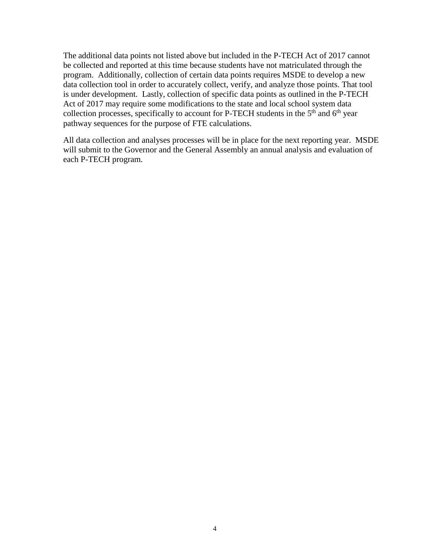The additional data points not listed above but included in the P-TECH Act of 2017 cannot be collected and reported at this time because students have not matriculated through the program. Additionally, collection of certain data points requires MSDE to develop a new data collection tool in order to accurately collect, verify, and analyze those points. That tool is under development. Lastly, collection of specific data points as outlined in the P-TECH Act of 2017 may require some modifications to the state and local school system data collection processes, specifically to account for P-TECH students in the 5<sup>th</sup> and 6<sup>th</sup> year pathway sequences for the purpose of FTE calculations.  $\overline{a}$ 

All data collection and analyses processes will be in place for the next reporting year. MSDE will submit to the Governor and the General Assembly an annual analysis and evaluation of each P-TECH program.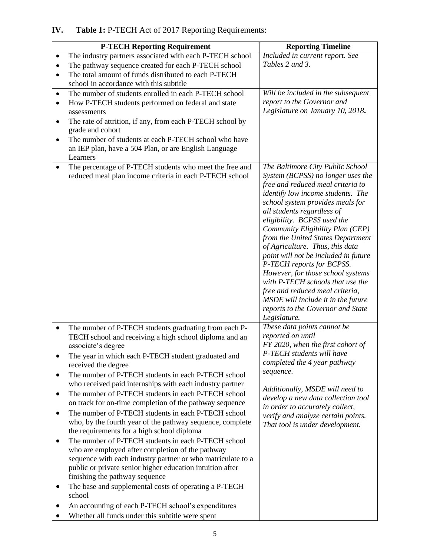# **IV. Table 1:** P-TECH Act of 2017 Reporting Requirements:

| <b>P-TECH Reporting Requirement</b>                                                                                                                                                                                                                                                                                                                                                                                                                                                                                                                                                                                                                                                                                                                                                                                                                                                                                                                                                                                                                                                                                                                 | <b>Reporting Timeline</b>                                                                                                                                                                                                                                                                                                                                                                                                                                                                                                                                                                                                                |
|-----------------------------------------------------------------------------------------------------------------------------------------------------------------------------------------------------------------------------------------------------------------------------------------------------------------------------------------------------------------------------------------------------------------------------------------------------------------------------------------------------------------------------------------------------------------------------------------------------------------------------------------------------------------------------------------------------------------------------------------------------------------------------------------------------------------------------------------------------------------------------------------------------------------------------------------------------------------------------------------------------------------------------------------------------------------------------------------------------------------------------------------------------|------------------------------------------------------------------------------------------------------------------------------------------------------------------------------------------------------------------------------------------------------------------------------------------------------------------------------------------------------------------------------------------------------------------------------------------------------------------------------------------------------------------------------------------------------------------------------------------------------------------------------------------|
| The industry partners associated with each P-TECH school<br>The pathway sequence created for each P-TECH school<br>The total amount of funds distributed to each P-TECH<br>$\bullet$<br>school in accordance with this subtitle                                                                                                                                                                                                                                                                                                                                                                                                                                                                                                                                                                                                                                                                                                                                                                                                                                                                                                                     | Included in current report. See<br>Tables 2 and 3.                                                                                                                                                                                                                                                                                                                                                                                                                                                                                                                                                                                       |
| The number of students enrolled in each P-TECH school<br>$\bullet$<br>How P-TECH students performed on federal and state<br>$\bullet$<br>assessments<br>The rate of attrition, if any, from each P-TECH school by<br>٠<br>grade and cohort<br>The number of students at each P-TECH school who have<br>an IEP plan, have a 504 Plan, or are English Language<br>Learners                                                                                                                                                                                                                                                                                                                                                                                                                                                                                                                                                                                                                                                                                                                                                                            | Will be included in the subsequent<br>report to the Governor and<br>Legislature on January 10, 2018.                                                                                                                                                                                                                                                                                                                                                                                                                                                                                                                                     |
| The percentage of P-TECH students who meet the free and<br>$\bullet$<br>reduced meal plan income criteria in each P-TECH school                                                                                                                                                                                                                                                                                                                                                                                                                                                                                                                                                                                                                                                                                                                                                                                                                                                                                                                                                                                                                     | The Baltimore City Public School<br>System (BCPSS) no longer uses the<br>free and reduced meal criteria to<br>identify low income students. The<br>school system provides meals for<br>all students regardless of<br>eligibility. BCPSS used the<br>Community Eligibility Plan (CEP)<br>from the United States Department<br>of Agriculture. Thus, this data<br>point will not be included in future<br>P-TECH reports for BCPSS.<br>However, for those school systems<br>with P-TECH schools that use the<br>free and reduced meal criteria,<br>MSDE will include it in the future<br>reports to the Governor and State<br>Legislature. |
| The number of P-TECH students graduating from each P-<br>$\bullet$<br>TECH school and receiving a high school diploma and an<br>associate's degree<br>The year in which each P-TECH student graduated and<br>$\bullet$<br>received the degree<br>The number of P-TECH students in each P-TECH school<br>$\bullet$<br>who received paid internships with each industry partner<br>The number of P-TECH students in each P-TECH school<br>٠<br>on track for on-time completion of the pathway sequence<br>The number of P-TECH students in each P-TECH school<br>$\bullet$<br>who, by the fourth year of the pathway sequence, complete<br>the requirements for a high school diploma<br>The number of P-TECH students in each P-TECH school<br>٠<br>who are employed after completion of the pathway<br>sequence with each industry partner or who matriculate to a<br>public or private senior higher education intuition after<br>finishing the pathway sequence<br>The base and supplemental costs of operating a P-TECH<br>٠<br>school<br>An accounting of each P-TECH school's expenditures<br>Whether all funds under this subtitle were spent | These data points cannot be<br>reported on until<br>FY 2020, when the first cohort of<br>P-TECH students will have<br>completed the 4 year pathway<br>sequence.<br>Additionally, MSDE will need to<br>develop a new data collection tool<br>in order to accurately collect,<br>verify and analyze certain points.<br>That tool is under development.                                                                                                                                                                                                                                                                                     |